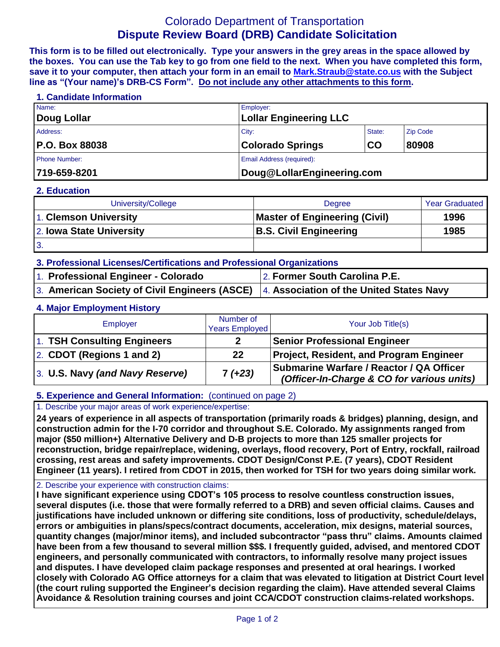# Colorado Department of Transportation **Dispute Review Board (DRB) Candidate Solicitation**

**This form is to be filled out electronically. Type your answers in the grey areas in the space allowed by the boxes. You can use the Tab key to go from one field to the next. When you have completed this form, save it to your computer, then attach your form in an email to [Mark.Straub@state.co.us](mailto:Mark.Straub@state.co.us?subject=Dispute%20Review%20Board%20(DRB)%20Candidate%20Solicitation) with the Subject line as "(Your name)'s DRB-CS Form". Do not include any other attachments to this form.**

#### **1. Candidate Information**

| Name:                 | Employer:                     |        |                 |  |
|-----------------------|-------------------------------|--------|-----------------|--|
| Doug Lollar           | <b>Lollar Engineering LLC</b> |        |                 |  |
| Address:              | City:                         | State: | <b>Zip Code</b> |  |
| <b>P.O. Box 88038</b> | <b>Colorado Springs</b>       | CO     | 80908           |  |
| <b>Phone Number:</b>  | Email Address (required):     |        |                 |  |
| 719-659-8201          | Doug@LollarEngineering.com    |        |                 |  |

#### **2. Education**

| University/College                                        | <b>Degree</b>                 | <b>Year Graduated</b> |
|-----------------------------------------------------------|-------------------------------|-----------------------|
| 1. Clemson University                                     | Master of Engineering (Civil) | 1996                  |
| 2. Iowa State University<br><b>B.S. Civil Engineering</b> |                               | 1985                  |
| 3.                                                        |                               |                       |

- **3. Professional Licenses/Certifications and Professional Organizations**
- 1. **Professional Engineer - Colorado** 2. **Former South Carolina P.E.**
- 
- 3. **American Society of Civil Engineers (ASCE)** 4. **Association of the United States Navy**

## **4. Major Employment History**

| Employer                        | Number of<br><b>Years Employed</b> | Your Job Title(s)                                                                      |
|---------------------------------|------------------------------------|----------------------------------------------------------------------------------------|
| 1. TSH Consulting Engineers     |                                    | <b>Senior Professional Engineer</b>                                                    |
| 2. CDOT (Regions 1 and 2)       | $22 \,$                            | <b>Project, Resident, and Program Engineer</b>                                         |
| 3. U.S. Navy (and Navy Reserve) | $7 (+23)$                          | Submarine Warfare / Reactor / QA Officer<br>(Officer-In-Charge & CO for various units) |

## **5. Experience and General Information:** (continued on page 2)

#### 1. Describe your major areas of work experience/expertise:

**24 years of experience in all aspects of transportation (primarily roads & bridges) planning, design, and construction admin for the I-70 corridor and throughout S.E. Colorado. My assignments ranged from major (\$50 million+) Alternative Delivery and D-B projects to more than 125 smaller projects for reconstruction, bridge repair/replace, widening, overlays, flood recovery, Port of Entry, rockfall, railroad crossing, rest areas and safety improvements. CDOT Design/Const P.E. (7 years), CDOT Resident Engineer (11 years). I retired from CDOT in 2015, then worked for TSH for two years doing similar work.**

#### 2. Describe your experience with construction claims:

**I have significant experience using CDOT's 105 process to resolve countless construction issues, several disputes (i.e. those that were formally referred to a DRB) and seven official claims. Causes and justifications have included unknown or differing site conditions, loss of productivity, schedule/delays, errors or ambiguities in plans/specs/contract documents, acceleration, mix designs, material sources, quantity changes (major/minor items), and included subcontractor "pass thru" claims. Amounts claimed have been from a few thousand to several million \$\$\$. I frequently guided, advised, and mentored CDOT engineers, and personally communicated with contractors, to informally resolve many project issues and disputes. I have developed claim package responses and presented at oral hearings. I worked closely with Colorado AG Office attorneys for a claim that was elevated to litigation at District Court level (the court ruling supported the Engineer's decision regarding the claim). Have attended several Claims Avoidance & Resolution training courses and joint CCA/CDOT construction claims-related workshops.**